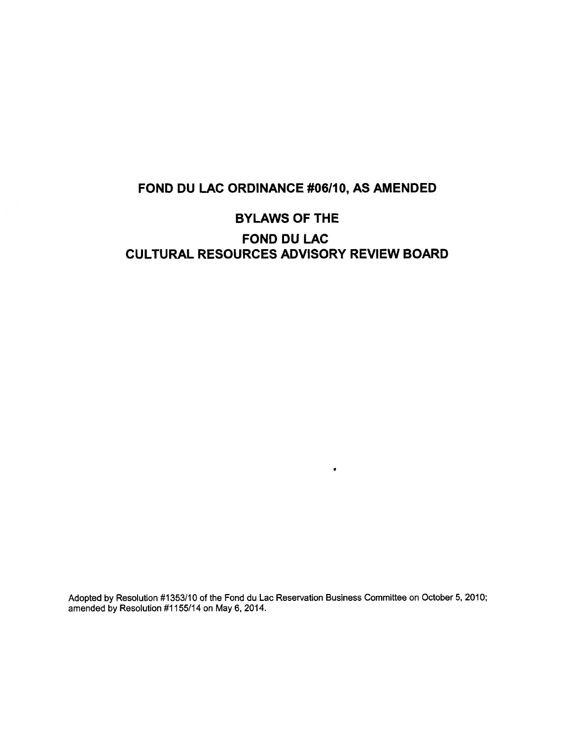## **FOND DU LAC ORDINANCE #06/10, AS AMENDED**

# **BYLAWS OF THE FOND DU LAC CULTURAL RESOURCES ADVISORY REVIEW BOARD**

Adopted by Resolution #1353/10 of the Fond du Lac Reservation Business Committee on October 5, 2010; amended by Resolution #1155/14 on May 6, 2014.

**.**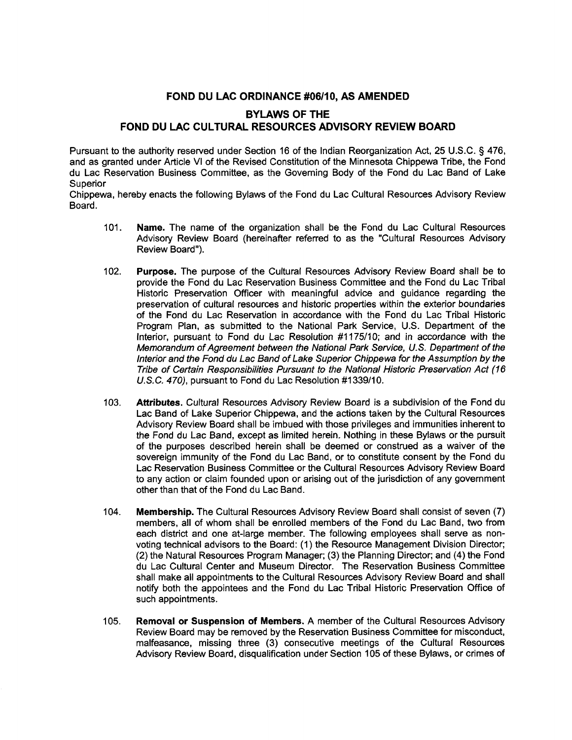#### **FOND DU LAC ORDINANCE #06/10, AS AMENDED**

### **BYLAWS OF THE FOND DU LAC CULTURAL RESOURCES ADVISORY REVIEW BOARD**

Pursuant to the authority reserved under Section 16 of the Indian Reorganization Act, 25 U.S.C. § 476, and as granted under Article VI of the Revised Constitution of the Minnesota Chippewa Tribe, the Fond du Lac Reservation Business Committee, as the Governing Body of the Fond du Lac Band of Lake Superior

Chippewa, hereby enacts the following Bylaws of the Fond du Lac Cultural Resources Advisory Review Board.

- **101. Name.** The name of the organization shall be the Fond du Lac Cultural Resources Advisory Review Board (hereinafter referred to as the "Cultural Resources Advisory Review Board").
- **102. Purpose.** The purpose of the Cultural Resources Advisory Review Board shall be to provide the Fond du Lac Reservation Business Committee and the Fond du Lac Tribal Historic Preservation Officer with meaningful advice and guidance regarding the preservation of cultural resources and historic properties within the exterior boundaries of the Fond du Lac Reservation in accordance with the Fond du Lac Tribal Historic Program Plan, as submitted to the National Park Service, U.S. Department of the Interior, pursuant to Fond du Lac Resolution #1175/10; and in accordance with the *Memorandum of Agreement between the National Park Service, U.S. Department of the Interior and the Fond du Lac Band of Lake Superior Chippewa for the Assumption by the Tribe of Certain Responsibilities Pursuant to the National Historic Preservation Act (16 U.S.C. 470),* pursuant to Fond du Lac Resolution #1339/10.
- *103. Attributes.* Cultural Resources Advisory Review Board is a subdivision of the Fond du Lac Band of Lake Superior Chippewa, and the actions taken by the Cultural Resources Advisory Review Board shall be imbued with those privileges and immunities inherent to the Fond du Lac Band, except as limited herein. Nothing in these Bylaws or the pursuit of the purposes described herein shall be deemed or construed as a waiver of the sovereign immunity of the Fond du Lac Band, or to constitute consent by the Fond du Lac Reservation Business Committee or the Cultural Resources Advisory Review Board to any action or claim founded upon or arising out of the jurisdiction of any government other than that of the Fond du Lac Band.
- **104. Membership.** The Cultural Resources Advisory Review Board shall consist of seven (7) members, all of whom shall be enrolled members of the Fond du Lac Band, two from each district and one at-large member. The following employees shall serve as nonvoting technical advisors to the Board: (1) the Resource Management Division Director; (2) the Natural Resources Program Manager; (3) the Planning Director; and (4) the Fond du Lac Cultural Center and Museum Director. The Reservation Business Committee shall make all appointments to the Cultural Resources Advisory Review Board and shall notify both the appointees and the Fond du Lac Tribal Historic Preservation Office of such appointments.
- **105. Removal or Suspension of Members.** A member of the Cultural Resources Advisory Review Board may be removed by the Reservation Business Committee for misconduct, malfeasance, missing three (3) consecutive meetings of the Cultural Resources Advisory Review Board, disqualification under Section 105 of these Bylaws, or crimes of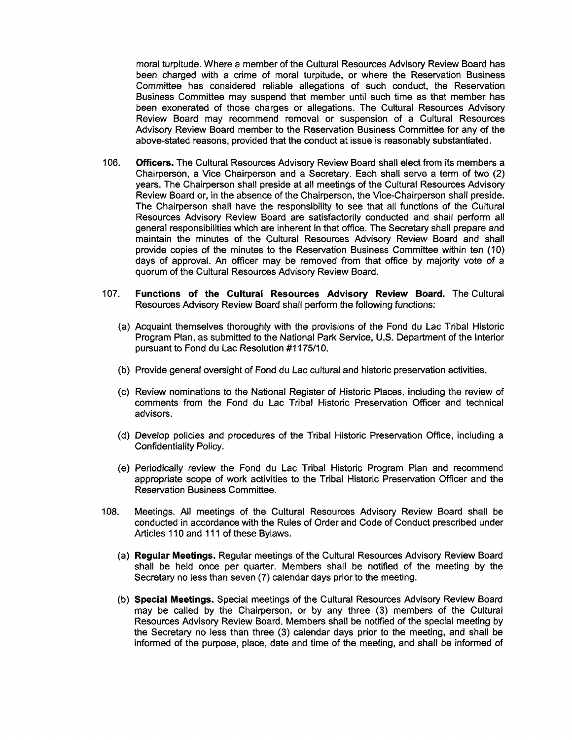moral turpitude. Where a member of the Cultural Resources Advisory Review Board has been charged with a crime of moral turpitude, or where the Reservation Business Committee has considered reliable allegations of such conduct, the Reservation Business Committee may suspend that member until such time as that member has been exonerated of those charges or allegations. The Cultural Resources Advisory Review Board may recommend removal or suspension of a Cultural Resources Advisory Review Board member to the Reservation Business Committee for any of the above-stated reasons, provided that the conduct at issue is reasonably substantiated.

- 106. **Officers.** The Cultural Resources Advisory Review Board shall elect from its members a Chairperson, a Vice Chairperson and a Secretary. Each shall serve a term of two (2) years. The Chairperson shall preside at all meetings of the Cultural Resources Advisory Review Board or, in the absence of the Chairperson, the Vice-Chairperson shall preside. The Chairperson shall have the responsibility to see that all functions of the Cultural Resources Advisory Review Board are satisfactorily conducted and shall perform all general responsibilities which are inherent in that office. The Secretary shall prepare and maintain the minutes of the Cultural Resources Advisory Review Board and shall provide copies of the minutes to the Reservation Business Committee within ten (10) days of approval. An officer may be removed from that office by majority vote of a quorum of the Cultural Resources Advisory Review Board.
- 107. **Functions of the Cultural Resources Advisory Review Board.** The Cultural Resources Advisory Review Board shall perform the following functions:
	- (a) Acquaint themselves thoroughly with the provisions of the Fond du Lac Tribal Historic Program Plan, as submitted to the National Park Service, U.S. Department of the Interior pursuant to Fond du Lac Resolution #1175/10.
	- (b) Provide general oversight of Fond du Lac cultural and historic preservation activities.
	- (c) Review nominations to the National Register of Historic Places, including the review of comments from the Fond du Lac Tribal Historic Preservation Officer and technical advisors.
	- (d) Develop policies and procedures of the Tribal Historic Preservation Office, including a Confidentiality Policy.
	- (e) Periodically review the Fond du Lac Tribal Historic Program Plan and recommend appropriate scope of work activities to the Tribal Historic Preservation Officer and the Reservation Business Committee.
- 108. Meetings. All meetings of the Cultural Resources Advisory Review Board shall be conducted in accordance with the Rules of Order and Code of Conduct prescribed under Articles 110 and 111 of these Bylaws.
	- **(a) Regular Meetings.** Regular meetings of the Cultural Resources Advisory Review Board shall be held once per quarter. Members shall be notified of the meeting by the Secretary no less than seven (7) calendar days prior to the meeting.
	- **(b) Special Meetings.** Special meetings of the Cultural Resources Advisory Review Board may be called by the Chairperson, or by any three (3) members of the Cultural Resources Advisory Review Board. Members shall be notified of the special meeting by the Secretary no less than three (3) calendar days prior to the meeting, and shall **be** informed of the purpose, place, date and time of the meeting, and shall be informed of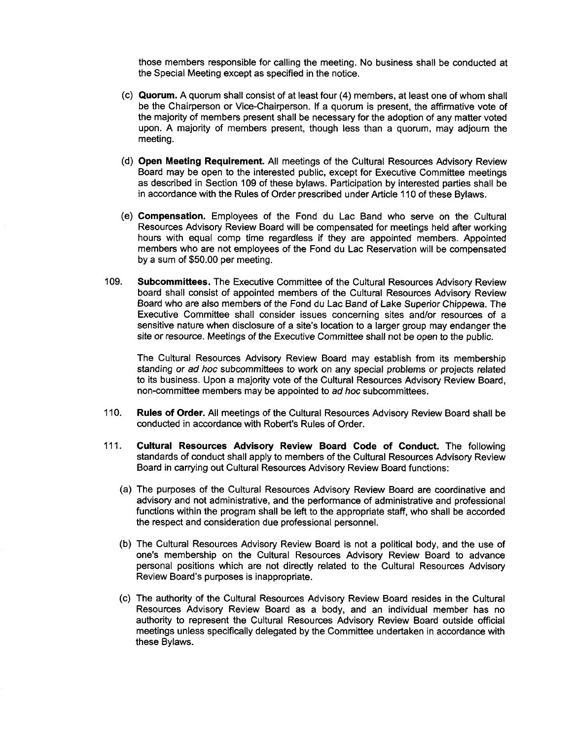those members responsible for calling the meeting. No business shall be conducted at the Special Meeting except as specified in the notice.

- **(c) Quorum.** A quorum shall consist of at least four (4) members, at least one of whom shall be the Chairperson or Vice-Chairperson. If a quorum is present, the affirmative vote of the majority of members present shall be necessary for the adoption of any matter voted upon. A majority of members present, though less than a quorum, may adjourn the meeting.
- **(d) Open Meeting Requirement.** All meetings of the Cultural Resources Advisory Review Board may be open to the interested public, except for Executive Committee meetings as described in Section 109 of these bylaws. Participation by interested parties shall be in accordance with the Rules of Order prescribed under Article 110 of these Bylaws.
- **(e) Compensation.** Employees of the Fond du Lac Band who serve on the Cultural Resources Advisory Review Board will be compensated for meetings held after working hours with equal comp time regardless if they are appointed members. Appointed members who are not employees of the Fond du Lac Reservation will be compensated by a sum of \$50.00 per meeting.
- **109. Subcommittees.** The Executive Committee of the Cultural Resources Advisory Review board shall consist of appointed members of the Cultural Resources Advisory Review Board who are also members of the Fond du Lac Band of Lake Superior Chippewa. The Executive Committee shall consider issues concerning sites and/or resources of a sensitive nature when disclosure of a site's location to a larger group may endanger the site or resource. Meetings of the Executive Committee shall not be open to the public.

The Cultural Resources Advisory Review Board may establish from its membership standing or *ad hoc* subcommittees to work on any special problems or projects related to its business. Upon a majority vote of the Cultural Resources Advisory Review Board, non-committee members may be appointed to *ad hoc* subcommittees.

- **110. Rules of Order.** All meetings of the Cultural Resources Advisory Review Board shall be conducted in accordance with Robert's Rules of Order.
- **111. Cultural Resources Advisory Review Board Code of Conduct.** The following standards of conduct shall apply to members of the Cultural Resources Advisory Review Board in carrying out Cultural Resources Advisory Review Board functions:
	- (a) The purposes of the Cultural Resources Advisory Review Board are coordinative and advisory and not administrative, and the performance of administrative and professional functions within the program shall be left to the appropriate staff, who shall be accorded the respect and consideration due professional personnel.
	- (b) The Cultural Resources Advisory Review Board is not a political body, and the use of one's membership on the Cultural Resources Advisory Review Board to advance personal positions which are not directly related to the Cultural Resources Advisory Review Board's purposes is inappropriate.
	- (c) The authority of the Cultural Resources Advisory Review Board resides in the Cultural Resources Advisory Review Board as a body, and an individual member has no authority to represent the Cultural Resources Advisory Review Board outside official meetings unless specifically delegated by the Committee undertaken in accordance with these Bylaws.